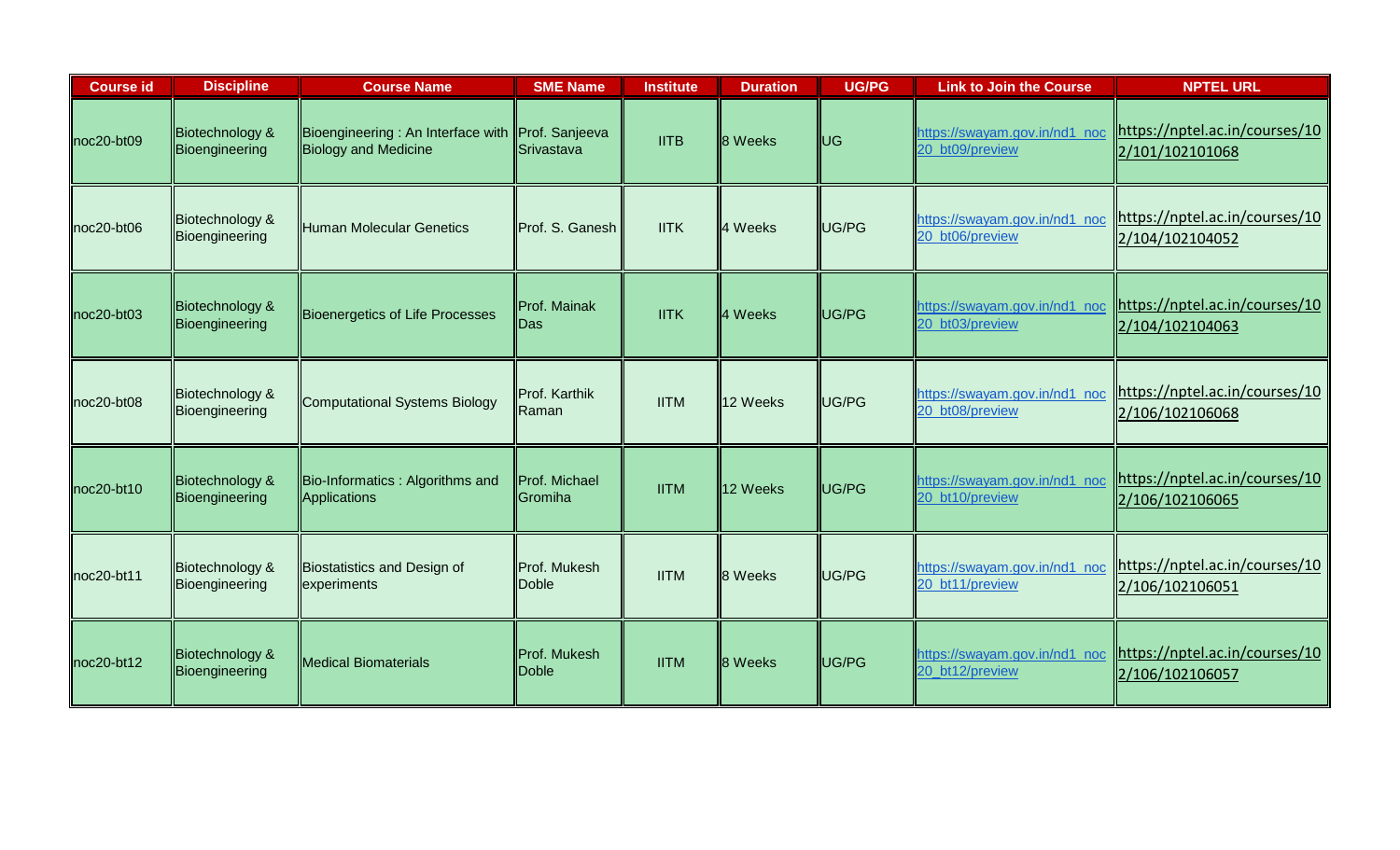| <b>Course id</b> | <b>Discipline</b>                 | <b>Course Name</b>                                                              | <b>SME Name</b>                 | <b>Institute</b> | <b>Duration</b> | <b>UG/PG</b>  | <b>Link to Join the Course</b>                   | <b>NPTEL URL</b>                                  |
|------------------|-----------------------------------|---------------------------------------------------------------------------------|---------------------------------|------------------|-----------------|---------------|--------------------------------------------------|---------------------------------------------------|
| noc20-bt09       | Biotechnology &<br>Bioengineering | Bioengineering: An Interface with Prof. Sanjeeva<br><b>Biology and Medicine</b> | Srivastava                      | <b>IITB</b>      | <b>8</b> Weeks  | ll∪G          | https://swayam.gov.in/nd1_noc<br>20_bt09/preview | https://nptel.ac.in/courses/10<br>2/101/102101068 |
| noc20-bt06       | Biotechnology &<br>Bioengineering | <b>Human Molecular Genetics</b>                                                 | Prof. S. Ganesh                 | <b>IITK</b>      | 4 Weeks         | UG/PG         | https://swayam.gov.in/nd1 noc<br>20_bt06/preview | https://nptel.ac.in/courses/10<br>2/104/102104052 |
| $noc20 - bt03$   | Biotechnology &<br>Bioengineering | Bioenergetics of Life Processes                                                 | Prof. Mainak<br><b>IDas</b>     | <b>IITK</b>      | 4 Weeks         | <b>IUG/PG</b> | https://swayam.gov.in/nd1_noc<br>20_bt03/preview | https://nptel.ac.in/courses/10<br>2/104/102104063 |
| $noc20 - bt08$   | Biotechnology &<br>Bioengineering | <b>Computational Systems Biology</b>                                            | Prof. Karthik<br>Raman          | <b>IITM</b>      | 12 Weeks        | UG/PG         | https://swayam.gov.in/nd1_noc<br>20_bt08/preview | https://nptel.ac.in/courses/10<br>2/106/102106068 |
| $noc20 - bt10$   | Biotechnology &<br>Bioengineering | Bio-Informatics: Algorithms and<br>Applications                                 | Prof. Michael<br><b>Cromiha</b> | <b>IITM</b>      | 12 Weeks        | <b>IUG/PG</b> | https://swayam.gov.in/nd1_noc<br>20_bt10/preview | https://nptel.ac.in/courses/10<br>2/106/102106065 |
| $noc20-bt11$     | Biotechnology &<br>Bioengineering | Biostatistics and Design of<br>experiments                                      | <b>IProf. Mukesh</b><br>Doble   | <b>IITM</b>      | 8 Weeks         | UG/PG         | https://swayam.gov.in/nd1 noc<br>20_bt11/preview | https://nptel.ac.in/courses/10<br>2/106/102106051 |
| $noc20-bt12$     | Biotechnology &<br>Bioengineering | <b>Medical Biomaterials</b>                                                     | Prof. Mukesh<br><b>IDoble</b>   | <b>IITM</b>      | 8 Weeks         | UG/PG         | https://swayam.gov.in/nd1 noc<br>20_bt12/preview | https://nptel.ac.in/courses/10<br>2/106/102106057 |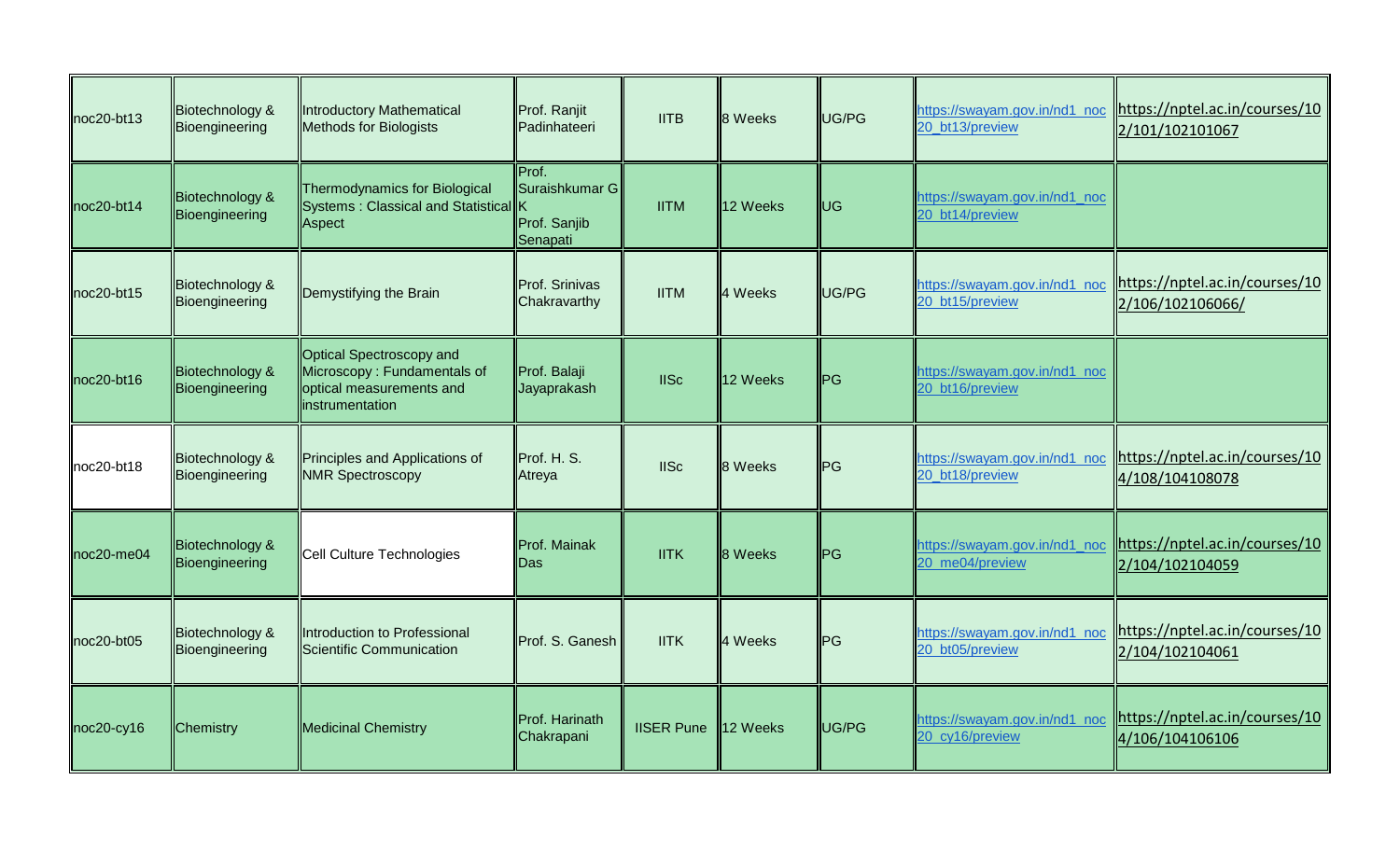| $noc20-bt13$     | Biotechnology &<br>Bioengineering | Introductory Mathematical<br><b>Methods for Biologists</b>                                             | Prof. Ranjit<br>Padinhateeri                        | <b>IITB</b>       | 8 Weeks        | UG/PG          | https://swayam.gov.in/nd1 noc<br>20_bt13/preview | https://nptel.ac.in/courses/10<br>2/101/102101067  |
|------------------|-----------------------------------|--------------------------------------------------------------------------------------------------------|-----------------------------------------------------|-------------------|----------------|----------------|--------------------------------------------------|----------------------------------------------------|
| $noc20-bt14$     | Biotechnology &<br>Bioengineering | Thermodynamics for Biological<br>Systems: Classical and Statistical K<br>Aspect                        | Prof.<br>Suraishkumar G<br>Prof. Sanjib<br>Senapati | <b>IITM</b>       | 12 Weeks       | <b>UG</b>      | https://swayam.gov.in/nd1_noc<br>20 bt14/preview |                                                    |
| noc20-bt15       | Biotechnology &<br>Bioengineering | Demystifying the Brain                                                                                 | <b>Prof. Srinivas</b><br>Chakravarthy               | <b>IITM</b>       | 4 Weeks        | UG/PG          | https://swayam.gov.in/nd1_noc<br>20 bt15/preview | https://nptel.ac.in/courses/10<br>2/106/102106066/ |
| $noc20-bt16$     | Biotechnology &<br>Bioengineering | Optical Spectroscopy and<br>Microscopy: Fundamentals of<br>optical measurements and<br>instrumentation | Prof. Balaji<br>Jayaprakash                         | <b>IISc</b>       | 12 Weeks       | <b>I</b> PG    | https://swayam.gov.in/nd1_noc<br>20 bt16/preview |                                                    |
| noc20-bt18       | Biotechnology &<br>Bioengineering | Principles and Applications of<br><b>NMR Spectroscopy</b>                                              | Prof. H. S.<br>Atreya                               | <b>IISc</b>       | 8 Weeks        | P <sub>G</sub> | https://swayam.gov.in/nd1_noc<br>20 bt18/preview | https://nptel.ac.in/courses/10<br>4/108/104108078  |
| $noc20$ -me $04$ | Biotechnology &<br>Bioengineering | Cell Culture Technologies                                                                              | Prof. Mainak<br>lDas                                | <b>IITK</b>       | <b>8</b> Weeks | <b>ll</b> PG   | https://swayam.gov.in/nd1_noc<br>20 me04/preview | https://nptel.ac.in/courses/10<br>2/104/102104059  |
| noc20-bt05       | Biotechnology &<br>Bioengineering | Introduction to Professional<br>Scientific Communication                                               | Prof. S. Ganesh                                     | <b>IITK</b>       | 4 Weeks        | <b>PG</b>      | https://swayam.gov.in/nd1 noc<br>20_bt05/preview | https://nptel.ac.in/courses/10<br>2/104/102104061  |
| $noc20-cy16$     | Chemistry                         | <b>Medicinal Chemistry</b>                                                                             | Prof. Harinath<br>Chakrapani                        | <b>IISER Pune</b> | 12 Weeks       | UG/PG          | https://swayam.gov.in/nd1_noc<br>20_cy16/preview | https://nptel.ac.in/courses/10<br>4/106/104106106  |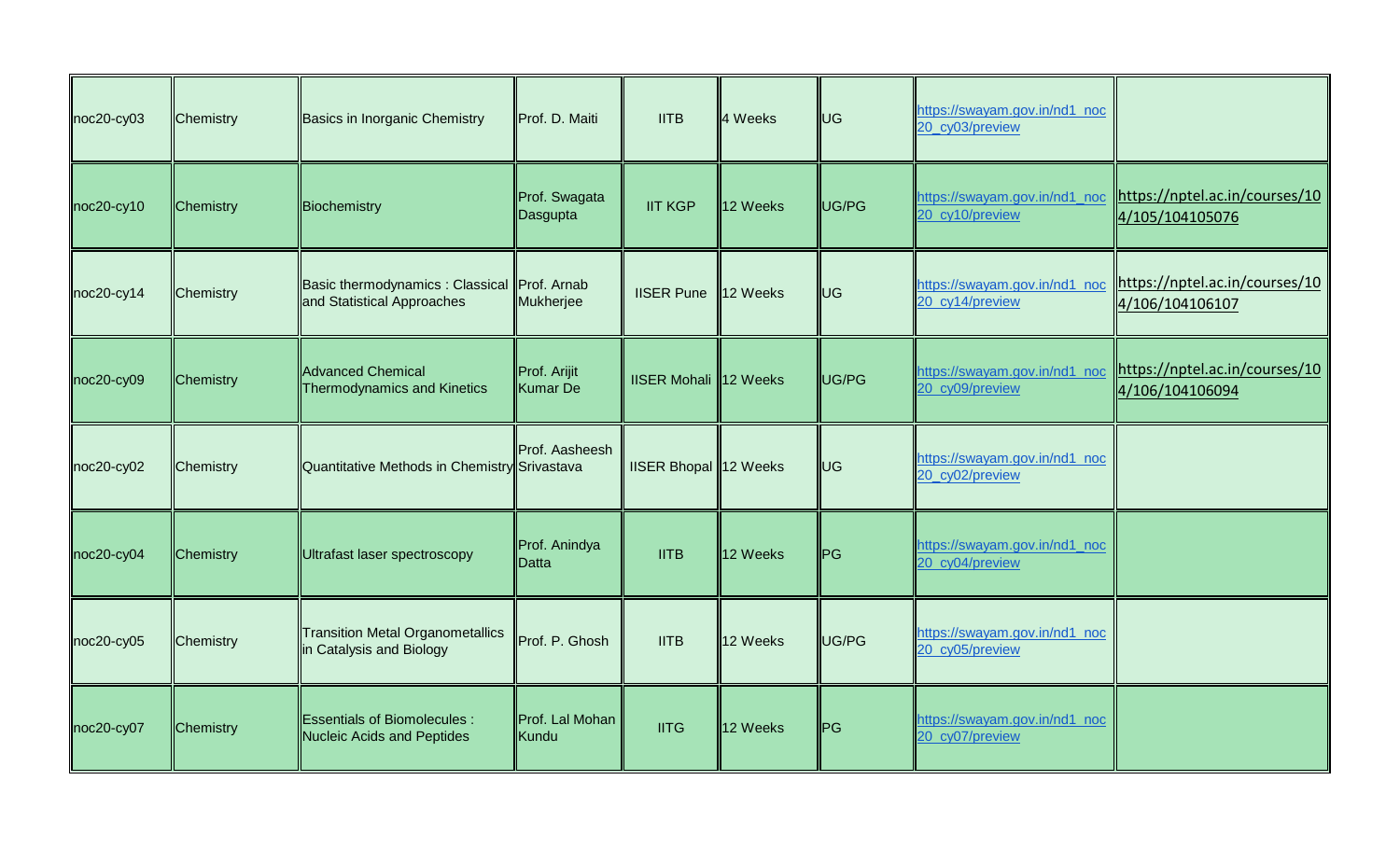| noc20-cy03   | Chemistry | Basics in Inorganic Chemistry                                             | Prof. D. Maiti            | <b>IITB</b>                  | 4 Weeks  | <b>UG</b> | https://swayam.gov.in/nd1_noc<br>20_cy03/preview |                                                                                   |
|--------------|-----------|---------------------------------------------------------------------------|---------------------------|------------------------------|----------|-----------|--------------------------------------------------|-----------------------------------------------------------------------------------|
| $noc20-cy10$ | Chemistry | Biochemistry                                                              | Prof. Swagata<br>Dasgupta | <b>IIT KGP</b>               | 12 Weeks | UG/PG     | 20 cy10/preview                                  | https://swayam.gov.in/nd1_noc   https://nptel.ac.in/courses/10<br>4/105/104105076 |
| $noc20-cy14$ | Chemistry | Basic thermodynamics: Classical Prof. Arnab<br>and Statistical Approaches | Mukherjee                 | <b>IISER Pune</b>            | 12 Weeks | <b>UG</b> | https://swayam.gov.in/nd1_noc<br>20 cy14/preview | https://nptel.ac.in/courses/10<br>4/106/104106107                                 |
| noc20-cy09   | Chemistry | <b>Advanced Chemical</b><br><b>Thermodynamics and Kinetics</b>            | Prof. Arijit<br>Kumar De  | <b>IISER Mohali</b> 12 Weeks |          | UG/PG     | https://swayam.gov.in/nd1_noc<br>20 cy09/preview | https://nptel.ac.in/courses/10<br>4/106/104106094                                 |
| $noc20-cy02$ | Chemistry | Quantitative Methods in Chemistry Srivastava                              | Prof. Aasheesh            | IISER Bhopal 12 Weeks        |          | UG        | https://swayam.gov.in/nd1_noc<br>20 cy02/preview |                                                                                   |
| noc20-cy04   | Chemistry | Ultrafast laser spectroscopy                                              | Prof. Anindya<br>IDatta   | <b>IITB</b>                  | 12 Weeks | ∥PG       | https://swayam.gov.in/nd1_noc<br>20_cy04/preview |                                                                                   |
| noc20-cy05   | Chemistry | <b>Transition Metal Organometallics</b><br>in Catalysis and Biology       | Prof. P. Ghosh            | <b>IITB</b>                  | 12 Weeks | UG/PG     | https://swayam.gov.in/nd1_noc<br>20_cy05/preview |                                                                                   |
| $noc20-cy07$ | Chemistry | <b>Essentials of Biomolecules:</b><br><b>Nucleic Acids and Peptides</b>   | Prof. Lal Mohan<br>Kundu  | <b>IITG</b>                  | 12 Weeks | ∥PG       | https://swayam.gov.in/nd1_noc<br>20_cy07/preview |                                                                                   |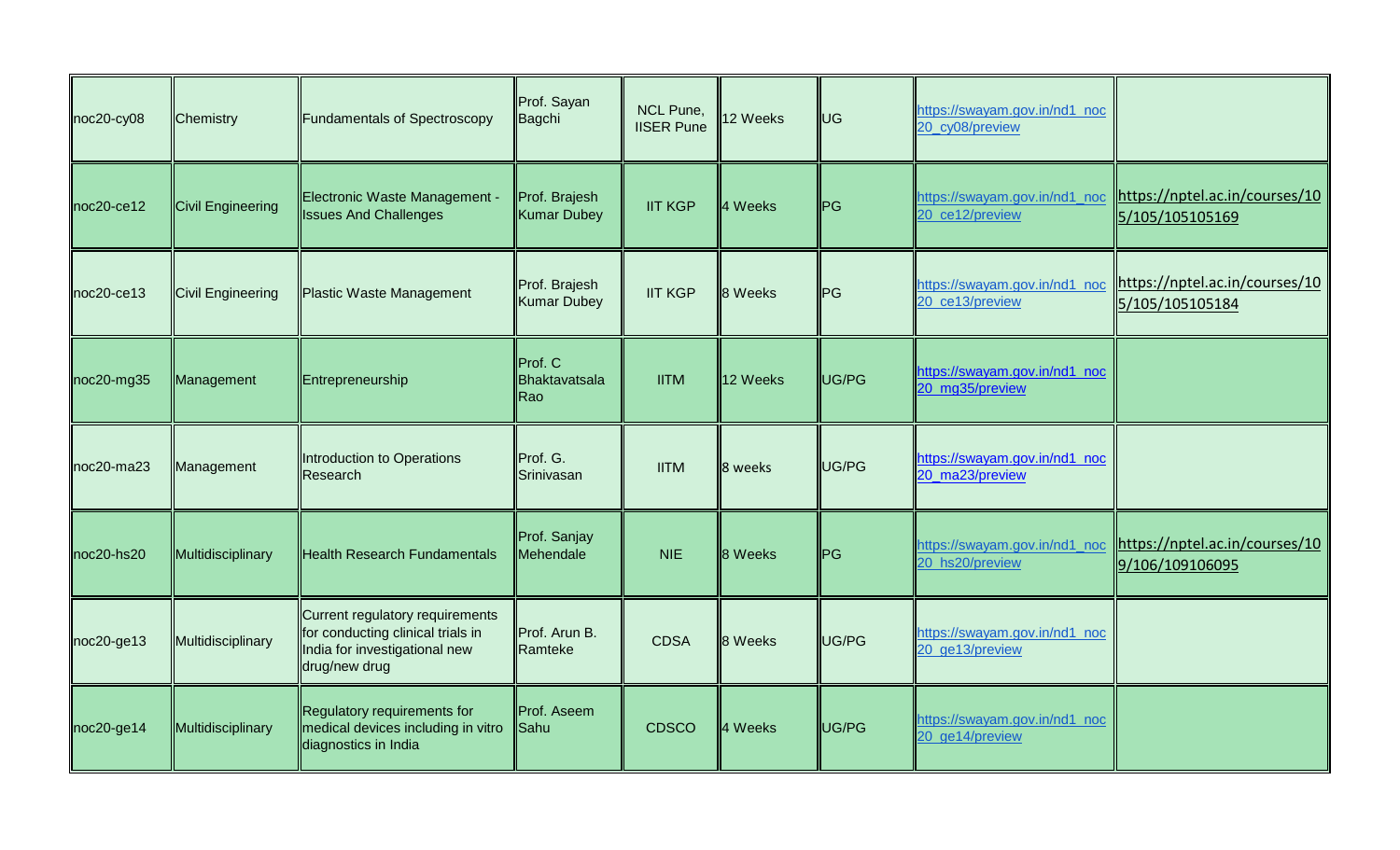| noc20-cy08       | Chemistry                | <b>Fundamentals of Spectroscopy</b>                                                                                    | Prof. Sayan<br>Bagchi               | <b>NCL Pune,</b><br><b>IISER Pune</b> | 12 Weeks | <b>UG</b>   | https://swayam.gov.in/nd1 noc<br>20_cy08/preview |                                                                                  |
|------------------|--------------------------|------------------------------------------------------------------------------------------------------------------------|-------------------------------------|---------------------------------------|----------|-------------|--------------------------------------------------|----------------------------------------------------------------------------------|
| $noc20$ -ce12    | <b>Civil Engineering</b> | Electronic Waste Management -<br><b>Issues And Challenges</b>                                                          | Prof. Brajesh<br><b>Kumar Dubey</b> | <b>IIT KGP</b>                        | 4 Weeks  | <b>I</b> PG | 20 ce12/preview                                  | https://swayam.gov.in/nd1_noc  https://nptel.ac.in/courses/10<br>5/105/105105169 |
| $noc20$ -ce13    | <b>Civil Engineering</b> | <b>Plastic Waste Management</b>                                                                                        | Prof. Brajesh<br><b>Kumar Dubey</b> | <b>IIT KGP</b>                        | 8 Weeks  | <b>I</b> PG | https://swayam.gov.in/nd1_noc<br>20 ce13/preview | https://nptel.ac.in/courses/10<br>5/105/105105184                                |
| $noc20$ -mg35    | Management               | Entrepreneurship                                                                                                       | Prof. C<br>Bhaktavatsala<br>Rao     | <b>IITM</b>                           | 12 Weeks | UG/PG       | https://swayam.gov.in/nd1_noc<br>20 mg35/preview |                                                                                  |
| $noc20$ -ma $23$ | Management               | Introduction to Operations<br>Research                                                                                 | Prof. G.<br>Srinivasan              | <b>IITM</b>                           | 8 weeks  | UG/PG       | https://swayam.gov.in/nd1_noc<br>20_ma23/preview |                                                                                  |
| noc20-hs20       | Multidisciplinary        | <b>Health Research Fundamentals</b>                                                                                    | Prof. Sanjay<br>Mehendale           | <b>NIE</b>                            | 8 Weeks  | ∥PG         | https://swayam.gov.in/nd1 noc<br>20_hs20/preview | https://nptel.ac.in/courses/10<br>9/106/109106095                                |
| noc20-ge13       | Multidisciplinary        | Current regulatory requirements<br>for conducting clinical trials in<br>India for investigational new<br>drug/new drug | Prof. Arun B.<br>Ramteke            | <b>CDSA</b>                           | 8 Weeks  | UG/PG       | https://swayam.gov.in/nd1_noc<br>20_ge13/preview |                                                                                  |
| $noc20 - ge14$   | Multidisciplinary        | Regulatory requirements for<br>medical devices including in vitro<br>diagnostics in India                              | Prof. Aseem<br>Sahu                 | <b>CDSCO</b>                          | 4 Weeks  | UG/PG       | https://swayam.gov.in/nd1_noc<br>20_ge14/preview |                                                                                  |